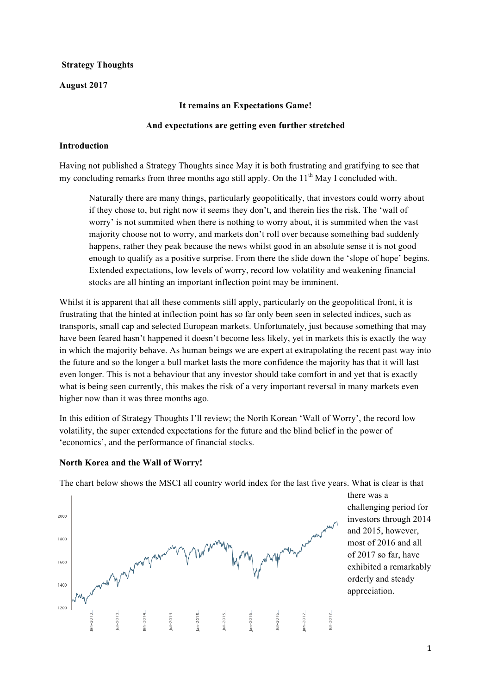#### **Strategy Thoughts**

#### **August 2017**

#### **It remains an Expectations Game!**

#### **And expectations are getting even further stretched**

#### **Introduction**

Having not published a Strategy Thoughts since May it is both frustrating and gratifying to see that my concluding remarks from three months ago still apply. On the  $11<sup>th</sup>$  May I concluded with.

Naturally there are many things, particularly geopolitically, that investors could worry about if they chose to, but right now it seems they don't, and therein lies the risk. The 'wall of worry' is not summited when there is nothing to worry about, it is summited when the vast majority choose not to worry, and markets don't roll over because something bad suddenly happens, rather they peak because the news whilst good in an absolute sense it is not good enough to qualify as a positive surprise. From there the slide down the 'slope of hope' begins. Extended expectations, low levels of worry, record low volatility and weakening financial stocks are all hinting an important inflection point may be imminent.

Whilst it is apparent that all these comments still apply, particularly on the geopolitical front, it is frustrating that the hinted at inflection point has so far only been seen in selected indices, such as transports, small cap and selected European markets. Unfortunately, just because something that may have been feared hasn't happened it doesn't become less likely, yet in markets this is exactly the way in which the majority behave. As human beings we are expert at extrapolating the recent past way into the future and so the longer a bull market lasts the more confidence the majority has that it will last even longer. This is not a behaviour that any investor should take comfort in and yet that is exactly what is being seen currently, this makes the risk of a very important reversal in many markets even higher now than it was three months ago.

In this edition of Strategy Thoughts I'll review; the North Korean 'Wall of Worry', the record low volatility, the super extended expectations for the future and the blind belief in the power of 'economics', and the performance of financial stocks.



**North Korea and the Wall of Worry!**

The chart below shows the MSCI all country world index for the last five years. What is clear is that

there was a challenging period for investors through 2014 and 2015, however, most of 2016 and all of 2017 so far, have exhibited a remarkably orderly and steady appreciation.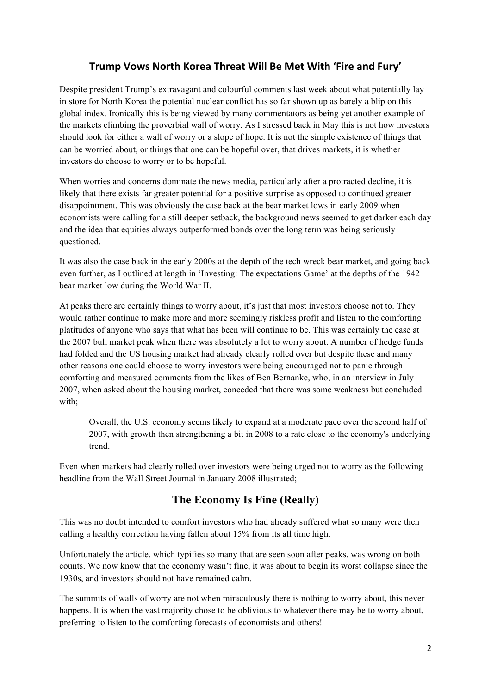# Trump Vows North Korea Threat Will Be Met With 'Fire and Fury'

Despite president Trump's extravagant and colourful comments last week about what potentially lay in store for North Korea the potential nuclear conflict has so far shown up as barely a blip on this global index. Ironically this is being viewed by many commentators as being yet another example of the markets climbing the proverbial wall of worry. As I stressed back in May this is not how investors should look for either a wall of worry or a slope of hope. It is not the simple existence of things that can be worried about, or things that one can be hopeful over, that drives markets, it is whether investors do choose to worry or to be hopeful.

When worries and concerns dominate the news media, particularly after a protracted decline, it is likely that there exists far greater potential for a positive surprise as opposed to continued greater disappointment. This was obviously the case back at the bear market lows in early 2009 when economists were calling for a still deeper setback, the background news seemed to get darker each day and the idea that equities always outperformed bonds over the long term was being seriously questioned.

It was also the case back in the early 2000s at the depth of the tech wreck bear market, and going back even further, as I outlined at length in 'Investing: The expectations Game' at the depths of the 1942 bear market low during the World War II.

At peaks there are certainly things to worry about, it's just that most investors choose not to. They would rather continue to make more and more seemingly riskless profit and listen to the comforting platitudes of anyone who says that what has been will continue to be. This was certainly the case at the 2007 bull market peak when there was absolutely a lot to worry about. A number of hedge funds had folded and the US housing market had already clearly rolled over but despite these and many other reasons one could choose to worry investors were being encouraged not to panic through comforting and measured comments from the likes of Ben Bernanke, who, in an interview in July 2007, when asked about the housing market, conceded that there was some weakness but concluded with;

Overall, the U.S. economy seems likely to expand at a moderate pace over the second half of 2007, with growth then strengthening a bit in 2008 to a rate close to the economy's underlying trend.

Even when markets had clearly rolled over investors were being urged not to worry as the following headline from the Wall Street Journal in January 2008 illustrated;

# **The Economy Is Fine (Really)**

This was no doubt intended to comfort investors who had already suffered what so many were then calling a healthy correction having fallen about 15% from its all time high.

Unfortunately the article, which typifies so many that are seen soon after peaks, was wrong on both counts. We now know that the economy wasn't fine, it was about to begin its worst collapse since the 1930s, and investors should not have remained calm.

The summits of walls of worry are not when miraculously there is nothing to worry about, this never happens. It is when the vast majority chose to be oblivious to whatever there may be to worry about, preferring to listen to the comforting forecasts of economists and others!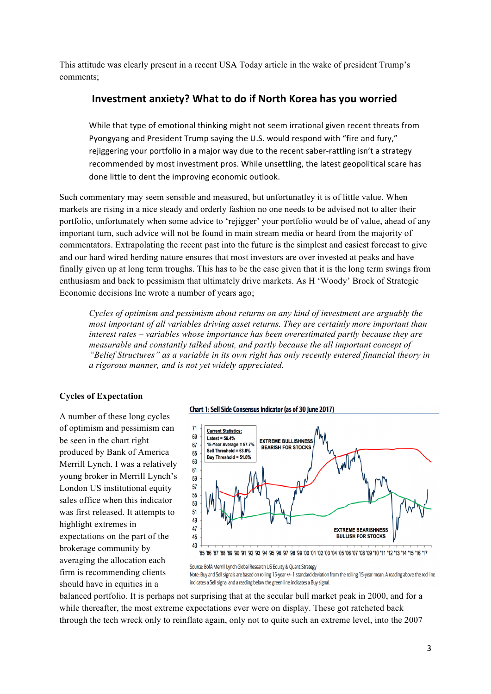This attitude was clearly present in a recent USA Today article in the wake of president Trump's comments;

### **Investment anxiety? What to do if North Korea has you worried**

While that type of emotional thinking might not seem irrational given recent threats from Pyongyang and President Trump saying the U.S. would respond with "fire and fury," rejiggering your portfolio in a major way due to the recent saber-rattling isn't a strategy recommended by most investment pros. While unsettling, the latest geopolitical scare has done little to dent the improving economic outlook.

Such commentary may seem sensible and measured, but unfortunatley it is of little value. When markets are rising in a nice steady and orderly fashion no one needs to be advised not to alter their portfolio, unfortunately when some advice to 'rejigger' your portfolio would be of value, ahead of any important turn, such advice will not be found in main stream media or heard from the majority of commentators. Extrapolating the recent past into the future is the simplest and easiest forecast to give and our hard wired herding nature ensures that most investors are over invested at peaks and have finally given up at long term troughs. This has to be the case given that it is the long term swings from enthusiasm and back to pessimism that ultimately drive markets. As H 'Woody' Brock of Strategic Economic decisions Inc wrote a number of years ago;

*Cycles of optimism and pessimism about returns on any kind of investment are arguably the most important of all variables driving asset returns. They are certainly more important than interest rates – variables whose importance has been overestimated partly because they are measurable and constantly talked about, and partly because the all important concept of "Belief Structures" as a variable in its own right has only recently entered financial theory in a rigorous manner, and is not yet widely appreciated.*

#### **Cycles of Expectation**

A number of these long cycles of optimism and pessimism can be seen in the chart right produced by Bank of America Merrill Lynch. I was a relatively young broker in Merrill Lynch's London US institutional equity sales office when this indicator was first released. It attempts to highlight extremes in expectations on the part of the brokerage community by averaging the allocation each firm is recommending clients should have in equities in a





Source: BofA Merrill Lynch Global Research US Equity & Quant Strategy Note: Buy and Sell signals are based on rolling 15-year +/-1 standard deviation from the rolling 15-year mean. A reading above the red line indicates a Sell signal and a reading below the green line indicates a Buy signal.

balanced portfolio. It is perhaps not surprising that at the secular bull market peak in 2000, and for a while thereafter, the most extreme expectations ever were on display. These got ratcheted back through the tech wreck only to reinflate again, only not to quite such an extreme level, into the 2007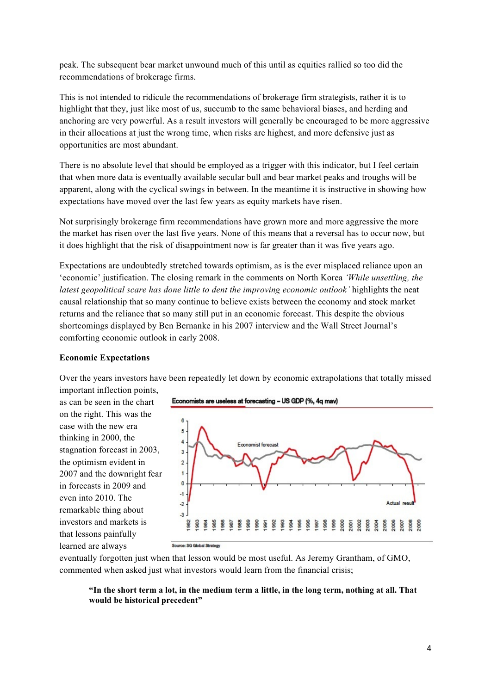peak. The subsequent bear market unwound much of this until as equities rallied so too did the recommendations of brokerage firms.

This is not intended to ridicule the recommendations of brokerage firm strategists, rather it is to highlight that they, just like most of us, succumb to the same behavioral biases, and herding and anchoring are very powerful. As a result investors will generally be encouraged to be more aggressive in their allocations at just the wrong time, when risks are highest, and more defensive just as opportunities are most abundant.

There is no absolute level that should be employed as a trigger with this indicator, but I feel certain that when more data is eventually available secular bull and bear market peaks and troughs will be apparent, along with the cyclical swings in between. In the meantime it is instructive in showing how expectations have moved over the last few years as equity markets have risen.

Not surprisingly brokerage firm recommendations have grown more and more aggressive the more the market has risen over the last five years. None of this means that a reversal has to occur now, but it does highlight that the risk of disappointment now is far greater than it was five years ago.

Expectations are undoubtedly stretched towards optimism, as is the ever misplaced reliance upon an 'economic' justification. The closing remark in the comments on North Korea *'While unsettling, the latest geopolitical scare has done little to dent the improving economic outlook'* highlights the neat causal relationship that so many continue to believe exists between the economy and stock market returns and the reliance that so many still put in an economic forecast. This despite the obvious shortcomings displayed by Ben Bernanke in his 2007 interview and the Wall Street Journal's comforting economic outlook in early 2008.

#### **Economic Expectations**

Over the years investors have been repeatedly let down by economic extrapolations that totally missed important inflection points,

as can be seen in the chart on the right. This was the case with the new era thinking in 2000, the stagnation forecast in 2003, the optimism evident in 2007 and the downright fear in forecasts in 2009 and even into 2010. The remarkable thing about investors and markets is that lessons painfully learned are always





eventually forgotten just when that lesson would be most useful. As Jeremy Grantham, of GMO, commented when asked just what investors would learn from the financial crisis;

#### **"In the short term a lot, in the medium term a little, in the long term, nothing at all. That would be historical precedent"**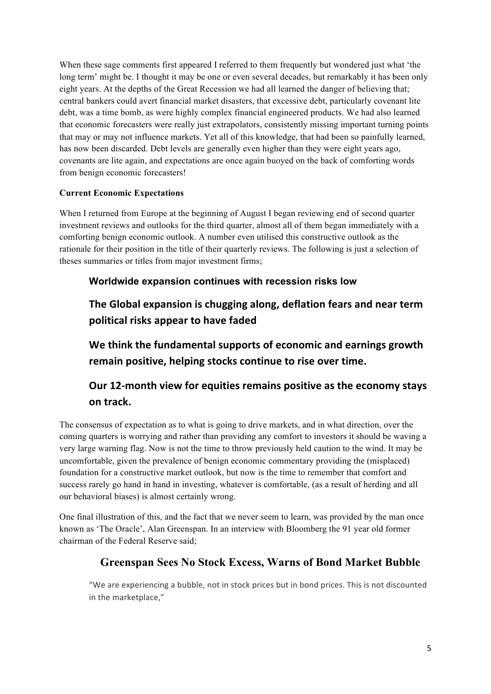When these sage comments first appeared I referred to them frequently but wondered just what 'the long term' might be. I thought it may be one or even several decades, but remarkably it has been only eight years. At the depths of the Great Recession we had all learned the danger of believing that; central bankers could avert financial market disasters, that excessive debt, particularly covenant lite debt, was a time bomb, as were highly complex financial engineered products. We had also learned that economic forecasters were really just extrapolators, consistently missing important turning points that may or may not influence markets. Yet all of this knowledge, that had been so painfully learned, has now been discarded. Debt levels are generally even higher than they were eight years ago, covenants are lite again, and expectations are once again buoyed on the back of comforting words from benign economic forecasters!

### **Current Economic Expectations**

When I returned from Europe at the beginning of August I began reviewing end of second quarter investment reviews and outlooks for the third quarter, almost all of them began immediately with a comforting benign economic outlook. A number even utilised this constructive outlook as the rationale for their position in the title of their quarterly reviews. The following is just a selection of theses summaries or titles from major investment firms;

## **Worldwide expansion continues with recession risks low**

The Global expansion is chugging along, deflation fears and near term **political risks appear to have faded**

We think the fundamental supports of economic and earnings growth remain positive, helping stocks continue to rise over time.

# **Our 12-month view for equities remains positive as the economy stays on track.**

The consensus of expectation as to what is going to drive markets, and in what direction, over the coming quarters is worrying and rather than providing any comfort to investors it should be waving a very large warning flag. Now is not the time to throw previously held caution to the wind. It may be uncomfortable, given the prevalence of benign economic commentary providing the (misplaced) foundation for a constructive market outlook, but now is the time to remember that comfort and success rarely go hand in hand in investing, whatever is comfortable, (as a result of herding and all our behavioral biases) is almost certainly wrong.

One final illustration of this, and the fact that we never seem to learn, was provided by the man once known as 'The Oracle', Alan Greenspan. In an interview with Bloomberg the 91 year old former chairman of the Federal Reserve said;

# **Greenspan Sees No Stock Excess, Warns of Bond Market Bubble**

"We are experiencing a bubble, not in stock prices but in bond prices. This is not discounted in the marketplace,"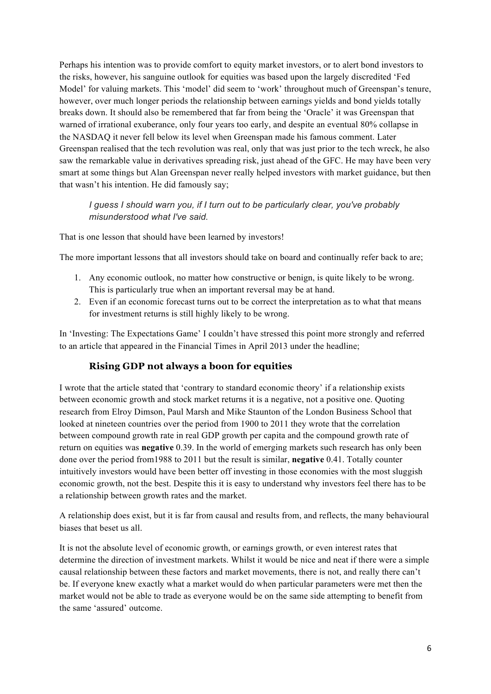Perhaps his intention was to provide comfort to equity market investors, or to alert bond investors to the risks, however, his sanguine outlook for equities was based upon the largely discredited 'Fed Model' for valuing markets. This 'model' did seem to 'work' throughout much of Greenspan's tenure, however, over much longer periods the relationship between earnings yields and bond yields totally breaks down. It should also be remembered that far from being the 'Oracle' it was Greenspan that warned of irrational exuberance, only four years too early, and despite an eventual 80% collapse in the NASDAQ it never fell below its level when Greenspan made his famous comment. Later Greenspan realised that the tech revolution was real, only that was just prior to the tech wreck, he also saw the remarkable value in derivatives spreading risk, just ahead of the GFC. He may have been very smart at some things but Alan Greenspan never really helped investors with market guidance, but then that wasn't his intention. He did famously say;

*I guess I should warn you, if I turn out to be particularly clear, you've probably misunderstood what I've said.*

That is one lesson that should have been learned by investors!

The more important lessons that all investors should take on board and continually refer back to are;

- 1. Any economic outlook, no matter how constructive or benign, is quite likely to be wrong. This is particularly true when an important reversal may be at hand.
- 2. Even if an economic forecast turns out to be correct the interpretation as to what that means for investment returns is still highly likely to be wrong.

In 'Investing: The Expectations Game' I couldn't have stressed this point more strongly and referred to an article that appeared in the Financial Times in April 2013 under the headline;

### **Rising GDP not always a boon for equities**

I wrote that the article stated that 'contrary to standard economic theory' if a relationship exists between economic growth and stock market returns it is a negative, not a positive one. Quoting research from Elroy Dimson, Paul Marsh and Mike Staunton of the London Business School that looked at nineteen countries over the period from 1900 to 2011 they wrote that the correlation between compound growth rate in real GDP growth per capita and the compound growth rate of return on equities was **negative** 0.39. In the world of emerging markets such research has only been done over the period from1988 to 2011 but the result is similar, **negative** 0.41. Totally counter intuitively investors would have been better off investing in those economies with the most sluggish economic growth, not the best. Despite this it is easy to understand why investors feel there has to be a relationship between growth rates and the market.

A relationship does exist, but it is far from causal and results from, and reflects, the many behavioural biases that beset us all.

It is not the absolute level of economic growth, or earnings growth, or even interest rates that determine the direction of investment markets. Whilst it would be nice and neat if there were a simple causal relationship between these factors and market movements, there is not, and really there can't be. If everyone knew exactly what a market would do when particular parameters were met then the market would not be able to trade as everyone would be on the same side attempting to benefit from the same 'assured' outcome.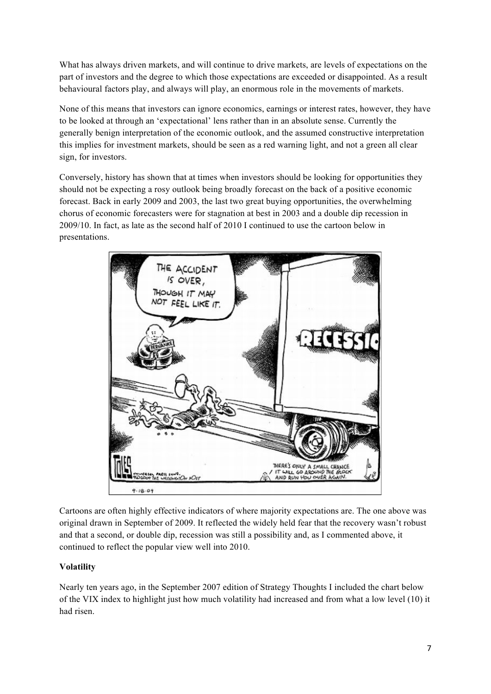What has always driven markets, and will continue to drive markets, are levels of expectations on the part of investors and the degree to which those expectations are exceeded or disappointed. As a result behavioural factors play, and always will play, an enormous role in the movements of markets.

None of this means that investors can ignore economics, earnings or interest rates, however, they have to be looked at through an 'expectational' lens rather than in an absolute sense. Currently the generally benign interpretation of the economic outlook, and the assumed constructive interpretation this implies for investment markets, should be seen as a red warning light, and not a green all clear sign, for investors.

Conversely, history has shown that at times when investors should be looking for opportunities they should not be expecting a rosy outlook being broadly forecast on the back of a positive economic forecast. Back in early 2009 and 2003, the last two great buying opportunities, the overwhelming chorus of economic forecasters were for stagnation at best in 2003 and a double dip recession in 2009/10. In fact, as late as the second half of 2010 I continued to use the cartoon below in presentations.



Cartoons are often highly effective indicators of where majority expectations are. The one above was original drawn in September of 2009. It reflected the widely held fear that the recovery wasn't robust and that a second, or double dip, recession was still a possibility and, as I commented above, it continued to reflect the popular view well into 2010.

## **Volatility**

Nearly ten years ago, in the September 2007 edition of Strategy Thoughts I included the chart below of the VIX index to highlight just how much volatility had increased and from what a low level (10) it had risen.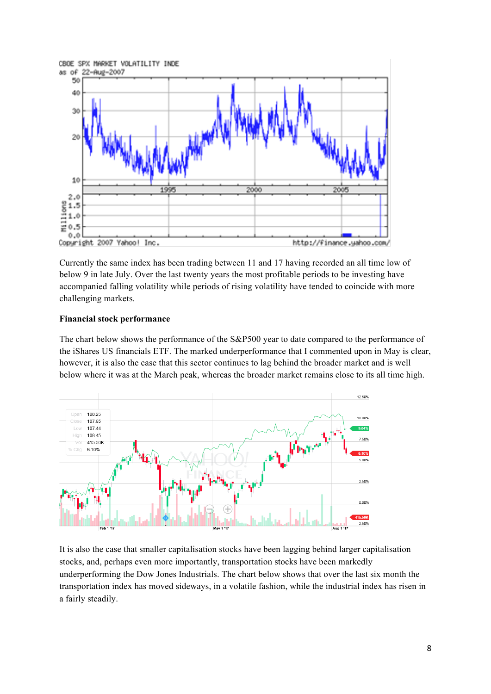

Currently the same index has been trading between 11 and 17 having recorded an all time low of below 9 in late July. Over the last twenty years the most profitable periods to be investing have accompanied falling volatility while periods of rising volatility have tended to coincide with more challenging markets.

### **Financial stock performance**

The chart below shows the performance of the S&P500 year to date compared to the performance of the iShares US financials ETF. The marked underperformance that I commented upon in May is clear, however, it is also the case that this sector continues to lag behind the broader market and is well below where it was at the March peak, whereas the broader market remains close to its all time high.



It is also the case that smaller capitalisation stocks have been lagging behind larger capitalisation stocks, and, perhaps even more importantly, transportation stocks have been markedly underperforming the Dow Jones Industrials. The chart below shows that over the last six month the transportation index has moved sideways, in a volatile fashion, while the industrial index has risen in a fairly steadily.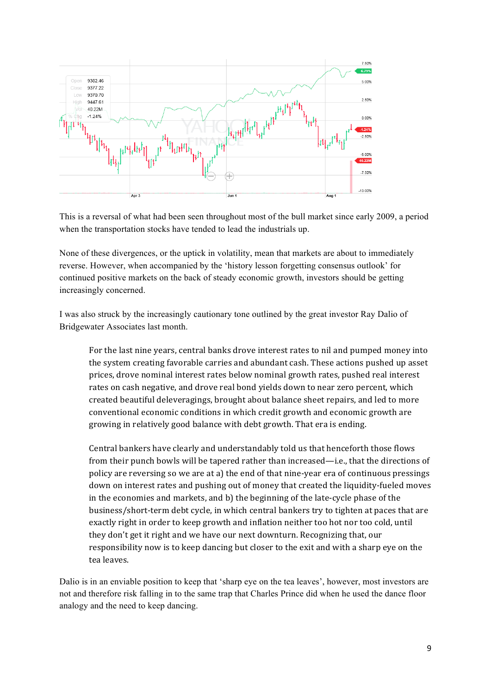

This is a reversal of what had been seen throughout most of the bull market since early 2009, a period when the transportation stocks have tended to lead the industrials up.

None of these divergences, or the uptick in volatility, mean that markets are about to immediately reverse. However, when accompanied by the 'history lesson forgetting consensus outlook' for continued positive markets on the back of steady economic growth, investors should be getting increasingly concerned.

I was also struck by the increasingly cautionary tone outlined by the great investor Ray Dalio of Bridgewater Associates last month.

For the last nine years, central banks drove interest rates to nil and pumped money into the system creating favorable carries and abundant cash. These actions pushed up asset prices, drove nominal interest rates below nominal growth rates, pushed real interest rates on cash negative, and drove real bond yields down to near zero percent, which created beautiful deleveragings, brought about balance sheet repairs, and led to more conventional economic conditions in which credit growth and economic growth are growing in relatively good balance with debt growth. That era is ending.

Central bankers have clearly and understandably told us that henceforth those flows from their punch bowls will be tapered rather than increased—i.e., that the directions of policy are reversing so we are at a) the end of that nine-year era of continuous pressings down on interest rates and pushing out of money that created the liquidity-fueled moves in the economies and markets, and  $b$ ) the beginning of the late-cycle phase of the business/short-term debt cycle, in which central bankers try to tighten at paces that are exactly right in order to keep growth and inflation neither too hot nor too cold, until they don't get it right and we have our next downturn. Recognizing that, our responsibility now is to keep dancing but closer to the exit and with a sharp eye on the tea leaves.

Dalio is in an enviable position to keep that 'sharp eye on the tea leaves', however, most investors are not and therefore risk falling in to the same trap that Charles Prince did when he used the dance floor analogy and the need to keep dancing.